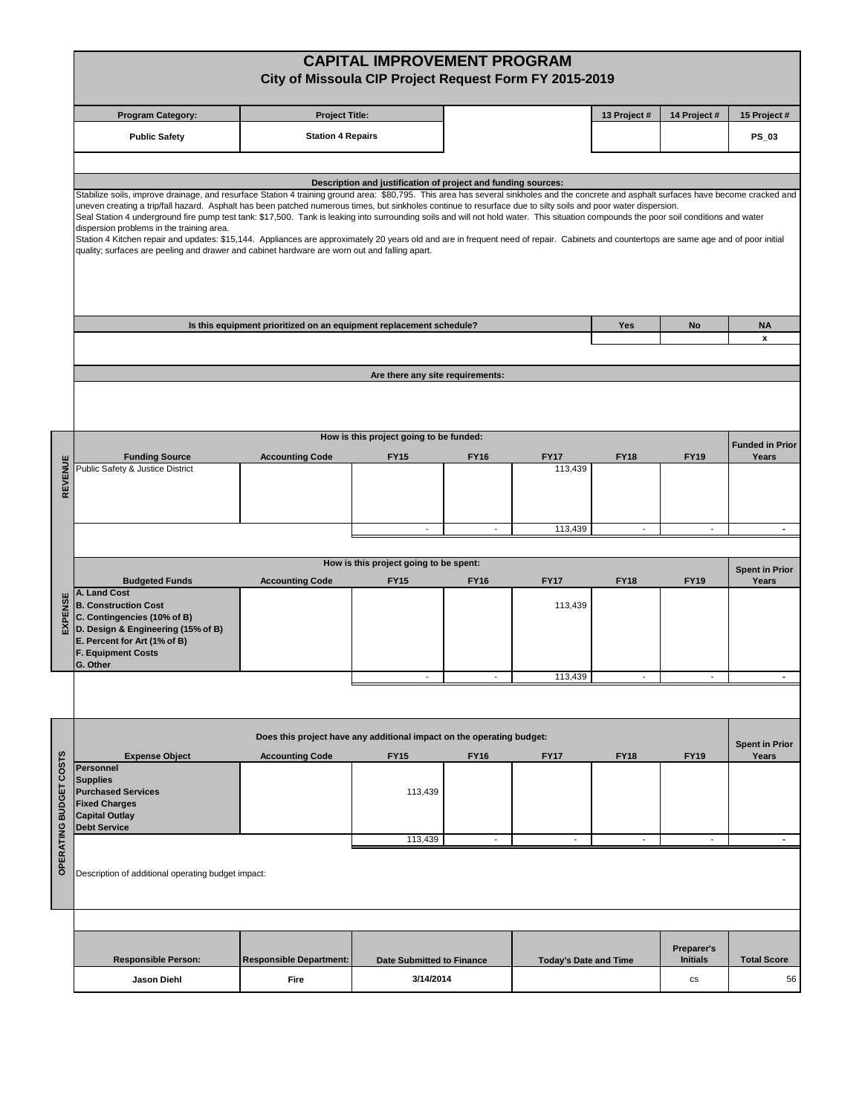|                        |                                                                                                                                                                                                                                                                                                                                                                                                                                                                                                                                                                                                                                                                                                  | <b>CAPITAL IMPROVEMENT PROGRAM</b><br>City of Missoula CIP Project Request Form FY 2015-2019 |                                                               |                          |                              |                          |                               |                                |
|------------------------|--------------------------------------------------------------------------------------------------------------------------------------------------------------------------------------------------------------------------------------------------------------------------------------------------------------------------------------------------------------------------------------------------------------------------------------------------------------------------------------------------------------------------------------------------------------------------------------------------------------------------------------------------------------------------------------------------|----------------------------------------------------------------------------------------------|---------------------------------------------------------------|--------------------------|------------------------------|--------------------------|-------------------------------|--------------------------------|
|                        | <b>Program Category:</b>                                                                                                                                                                                                                                                                                                                                                                                                                                                                                                                                                                                                                                                                         | <b>Project Title:</b>                                                                        |                                                               |                          |                              | 13 Project #             | 14 Project #                  | 15 Project #                   |
|                        | <b>Public Safety</b>                                                                                                                                                                                                                                                                                                                                                                                                                                                                                                                                                                                                                                                                             | <b>Station 4 Repairs</b>                                                                     |                                                               |                          |                              |                          |                               | <b>PS_03</b>                   |
|                        |                                                                                                                                                                                                                                                                                                                                                                                                                                                                                                                                                                                                                                                                                                  |                                                                                              |                                                               |                          |                              |                          |                               |                                |
|                        | Stabilize soils, improve drainage, and resurface Station 4 training ground area: \$80,795. This area has several sinkholes and the concrete and asphalt surfaces have become cracked and                                                                                                                                                                                                                                                                                                                                                                                                                                                                                                         |                                                                                              | Description and justification of project and funding sources: |                          |                              |                          |                               |                                |
|                        | uneven creating a trip/fall hazard. Asphalt has been patched numerous times, but sinkholes continue to resurface due to silty soils and poor water dispersion.<br>Seal Station 4 underground fire pump test tank: \$17,500. Tank is leaking into surrounding soils and will not hold water. This situation compounds the poor soil conditions and water<br>dispersion problems in the training area.<br>Station 4 Kitchen repair and updates: \$15,144. Appliances are approximately 20 years old and are in frequent need of repair. Cabinets and countertops are same age and of poor initial<br>quality; surfaces are peeling and drawer and cabinet hardware are worn out and falling apart. |                                                                                              |                                                               |                          |                              |                          |                               |                                |
|                        |                                                                                                                                                                                                                                                                                                                                                                                                                                                                                                                                                                                                                                                                                                  | Is this equipment prioritized on an equipment replacement schedule?                          |                                                               |                          |                              | Yes                      | No                            | <b>NA</b>                      |
|                        |                                                                                                                                                                                                                                                                                                                                                                                                                                                                                                                                                                                                                                                                                                  |                                                                                              |                                                               |                          |                              |                          |                               | x                              |
|                        |                                                                                                                                                                                                                                                                                                                                                                                                                                                                                                                                                                                                                                                                                                  |                                                                                              | Are there any site requirements:                              |                          |                              |                          |                               |                                |
|                        |                                                                                                                                                                                                                                                                                                                                                                                                                                                                                                                                                                                                                                                                                                  |                                                                                              |                                                               |                          |                              |                          |                               |                                |
|                        |                                                                                                                                                                                                                                                                                                                                                                                                                                                                                                                                                                                                                                                                                                  |                                                                                              | How is this project going to be funded:                       |                          |                              |                          |                               | <b>Funded in Prior</b>         |
|                        | <b>Funding Source</b><br>Public Safety & Justice District                                                                                                                                                                                                                                                                                                                                                                                                                                                                                                                                                                                                                                        | <b>Accounting Code</b>                                                                       | <b>FY15</b>                                                   | <b>FY16</b>              | <b>FY17</b><br>113,439       | <b>FY18</b>              | <b>FY19</b>                   | Years                          |
| REVENUE                |                                                                                                                                                                                                                                                                                                                                                                                                                                                                                                                                                                                                                                                                                                  |                                                                                              |                                                               |                          |                              |                          |                               |                                |
|                        |                                                                                                                                                                                                                                                                                                                                                                                                                                                                                                                                                                                                                                                                                                  |                                                                                              | $\overline{\phantom{a}}$                                      | $\overline{\phantom{a}}$ | 113,439                      | $\overline{\phantom{a}}$ | $\overline{a}$                | $\sim$                         |
|                        |                                                                                                                                                                                                                                                                                                                                                                                                                                                                                                                                                                                                                                                                                                  |                                                                                              | How is this project going to be spent:                        |                          |                              |                          |                               |                                |
|                        | <b>Budgeted Funds</b>                                                                                                                                                                                                                                                                                                                                                                                                                                                                                                                                                                                                                                                                            | <b>Accounting Code</b>                                                                       | <b>FY15</b>                                                   | <b>FY16</b>              | <b>FY17</b>                  | <b>FY18</b>              | <b>FY19</b>                   | <b>Spent in Prior</b><br>Years |
| EXPENSE                | A. Land Cost<br><b>B. Construction Cost</b><br>C. Contingencies (10% of B)<br>D. Design & Engineering (15% of B)<br>E. Percent for Art (1% of B)<br><b>F. Equipment Costs</b><br>G. Other                                                                                                                                                                                                                                                                                                                                                                                                                                                                                                        |                                                                                              |                                                               |                          | 113,439                      |                          |                               |                                |
|                        |                                                                                                                                                                                                                                                                                                                                                                                                                                                                                                                                                                                                                                                                                                  |                                                                                              |                                                               |                          | 113,439                      |                          |                               |                                |
|                        |                                                                                                                                                                                                                                                                                                                                                                                                                                                                                                                                                                                                                                                                                                  |                                                                                              |                                                               |                          |                              |                          |                               |                                |
|                        | Does this project have any additional impact on the operating budget:                                                                                                                                                                                                                                                                                                                                                                                                                                                                                                                                                                                                                            |                                                                                              |                                                               |                          |                              |                          |                               | <b>Spent in Prior</b>          |
|                        | <b>Expense Object</b><br><b>Personnel</b>                                                                                                                                                                                                                                                                                                                                                                                                                                                                                                                                                                                                                                                        | <b>Accounting Code</b>                                                                       | <b>FY15</b>                                                   | <b>FY16</b>              | <b>FY17</b>                  | <b>FY18</b>              | <b>FY19</b>                   | Years                          |
| OPERATING BUDGET COSTS | <b>Supplies</b><br><b>Purchased Services</b><br><b>Fixed Charges</b><br><b>Capital Outlay</b>                                                                                                                                                                                                                                                                                                                                                                                                                                                                                                                                                                                                    |                                                                                              | 113,439                                                       |                          |                              |                          |                               |                                |
|                        | <b>Debt Service</b>                                                                                                                                                                                                                                                                                                                                                                                                                                                                                                                                                                                                                                                                              |                                                                                              | 113,439                                                       | $\overline{\phantom{a}}$ | $\overline{\phantom{a}}$     |                          | $\overline{\phantom{a}}$      | $\blacksquare$                 |
|                        | Description of additional operating budget impact:                                                                                                                                                                                                                                                                                                                                                                                                                                                                                                                                                                                                                                               |                                                                                              |                                                               |                          |                              |                          |                               |                                |
|                        |                                                                                                                                                                                                                                                                                                                                                                                                                                                                                                                                                                                                                                                                                                  |                                                                                              |                                                               |                          |                              |                          |                               |                                |
|                        | <b>Responsible Person:</b>                                                                                                                                                                                                                                                                                                                                                                                                                                                                                                                                                                                                                                                                       | <b>Responsible Department:</b>                                                               | <b>Date Submitted to Finance</b>                              |                          | <b>Today's Date and Time</b> |                          | Preparer's<br><b>Initials</b> | <b>Total Score</b>             |
|                        | <b>Jason Diehl</b>                                                                                                                                                                                                                                                                                                                                                                                                                                                                                                                                                                                                                                                                               | Fire                                                                                         | 3/14/2014                                                     |                          |                              |                          | cs                            | 56                             |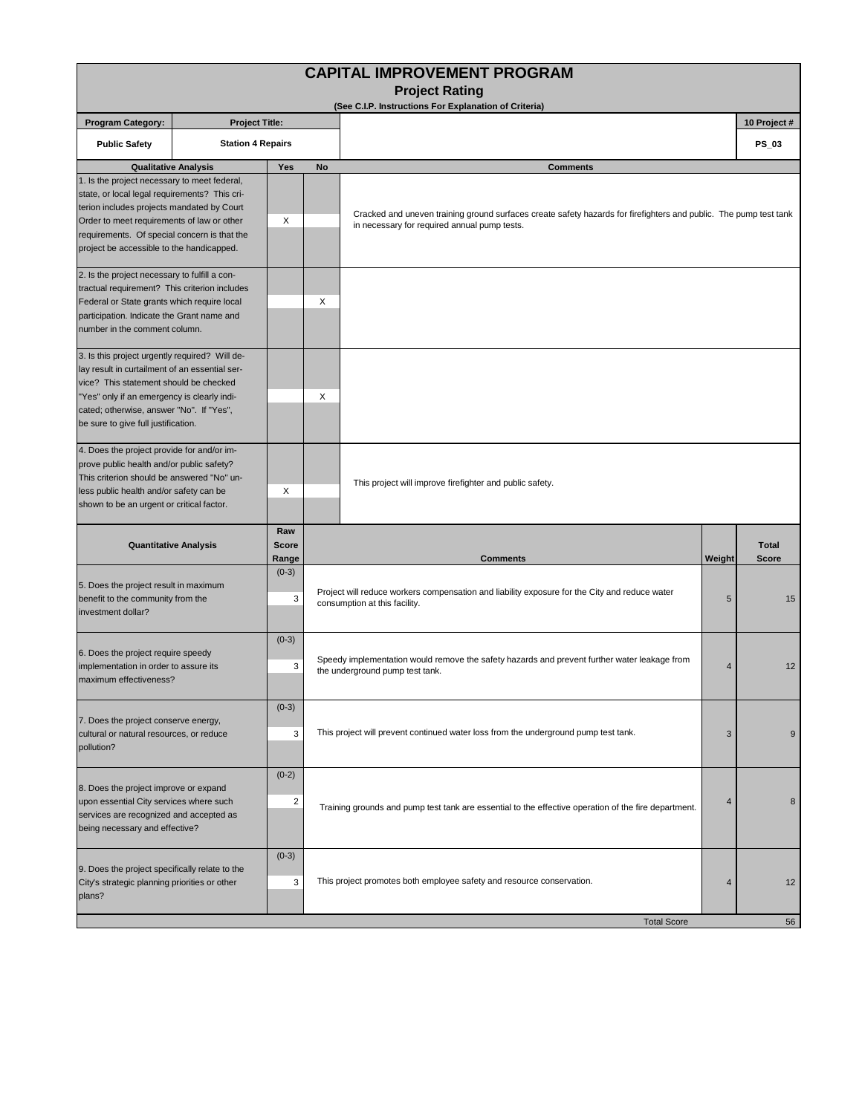|                                                                                                                                                                                                                                                                                        |                          |                              |                                                                                                                                      | <b>CAPITAL IMPROVEMENT PROGRAM</b><br><b>Project Rating</b>                                                                                                       |        |                              |
|----------------------------------------------------------------------------------------------------------------------------------------------------------------------------------------------------------------------------------------------------------------------------------------|--------------------------|------------------------------|--------------------------------------------------------------------------------------------------------------------------------------|-------------------------------------------------------------------------------------------------------------------------------------------------------------------|--------|------------------------------|
|                                                                                                                                                                                                                                                                                        |                          |                              |                                                                                                                                      | (See C.I.P. Instructions For Explanation of Criteria)                                                                                                             |        |                              |
| <b>Program Category:</b>                                                                                                                                                                                                                                                               | <b>Project Title:</b>    |                              |                                                                                                                                      |                                                                                                                                                                   |        | 10 Project #                 |
| <b>Public Safety</b>                                                                                                                                                                                                                                                                   | <b>Station 4 Repairs</b> |                              |                                                                                                                                      |                                                                                                                                                                   |        | PS_03                        |
| <b>Qualitative Analysis</b>                                                                                                                                                                                                                                                            |                          | Yes                          | No                                                                                                                                   | <b>Comments</b>                                                                                                                                                   |        |                              |
| 1. Is the project necessary to meet federal,<br>state, or local legal requirements? This cri-<br>terion includes projects mandated by Court<br>Order to meet requirements of law or other<br>requirements. Of special concern is that the<br>project be accessible to the handicapped. |                          | X                            |                                                                                                                                      | Cracked and uneven training ground surfaces create safety hazards for firefighters and public. The pump test tank<br>in necessary for required annual pump tests. |        |                              |
| 2. Is the project necessary to fulfill a con-<br>tractual requirement? This criterion includes<br>Federal or State grants which require local<br>participation. Indicate the Grant name and<br>number in the comment column.                                                           |                          |                              | X                                                                                                                                    |                                                                                                                                                                   |        |                              |
| 3. Is this project urgently required? Will de-<br>lay result in curtailment of an essential ser-<br>vice? This statement should be checked<br>"Yes" only if an emergency is clearly indi-<br>cated; otherwise, answer "No". If "Yes",<br>be sure to give full justification.           |                          |                              | X                                                                                                                                    |                                                                                                                                                                   |        |                              |
| 4. Does the project provide for and/or im-<br>prove public health and/or public safety?<br>This criterion should be answered "No" un-<br>less public health and/or safety can be<br>shown to be an urgent or critical factor.<br><b>Quantitative Analysis</b>                          |                          | Χ                            |                                                                                                                                      | This project will improve firefighter and public safety.                                                                                                          |        |                              |
|                                                                                                                                                                                                                                                                                        |                          | Raw<br><b>Score</b><br>Range |                                                                                                                                      | <b>Comments</b>                                                                                                                                                   | Weight | <b>Total</b><br><b>Score</b> |
| 5. Does the project result in maximum<br>benefit to the community from the<br>investment dollar?                                                                                                                                                                                       |                          | $(0-3)$<br>3                 |                                                                                                                                      | Project will reduce workers compensation and liability exposure for the City and reduce water<br>consumption at this facility.                                    |        | 15                           |
| 6. Does the project require speedy<br>implementation in order to assure its<br>maximum effectiveness?                                                                                                                                                                                  |                          | $(0-3)$<br>3                 | Speedy implementation would remove the safety hazards and prevent further water leakage from<br>4<br>the underground pump test tank. |                                                                                                                                                                   |        | 12                           |
| $(0-3)$<br>7. Does the project conserve energy,<br>cultural or natural resources, or reduce<br>3<br>pollution?                                                                                                                                                                         |                          |                              | This project will prevent continued water loss from the underground pump test tank.                                                  | 3                                                                                                                                                                 | 9      |                              |
| 8. Does the project improve or expand<br>upon essential City services where such<br>services are recognized and accepted as<br>being necessary and effective?                                                                                                                          |                          | $(0-2)$<br>2                 |                                                                                                                                      | Training grounds and pump test tank are essential to the effective operation of the fire department.                                                              |        | 8                            |
| 9. Does the project specifically relate to the<br>City's strategic planning priorities or other<br>plans?                                                                                                                                                                              |                          | $(0-3)$<br>3                 |                                                                                                                                      | This project promotes both employee safety and resource conservation.                                                                                             | 4      | 12                           |
|                                                                                                                                                                                                                                                                                        |                          |                              |                                                                                                                                      | <b>Total Score</b>                                                                                                                                                |        | 56                           |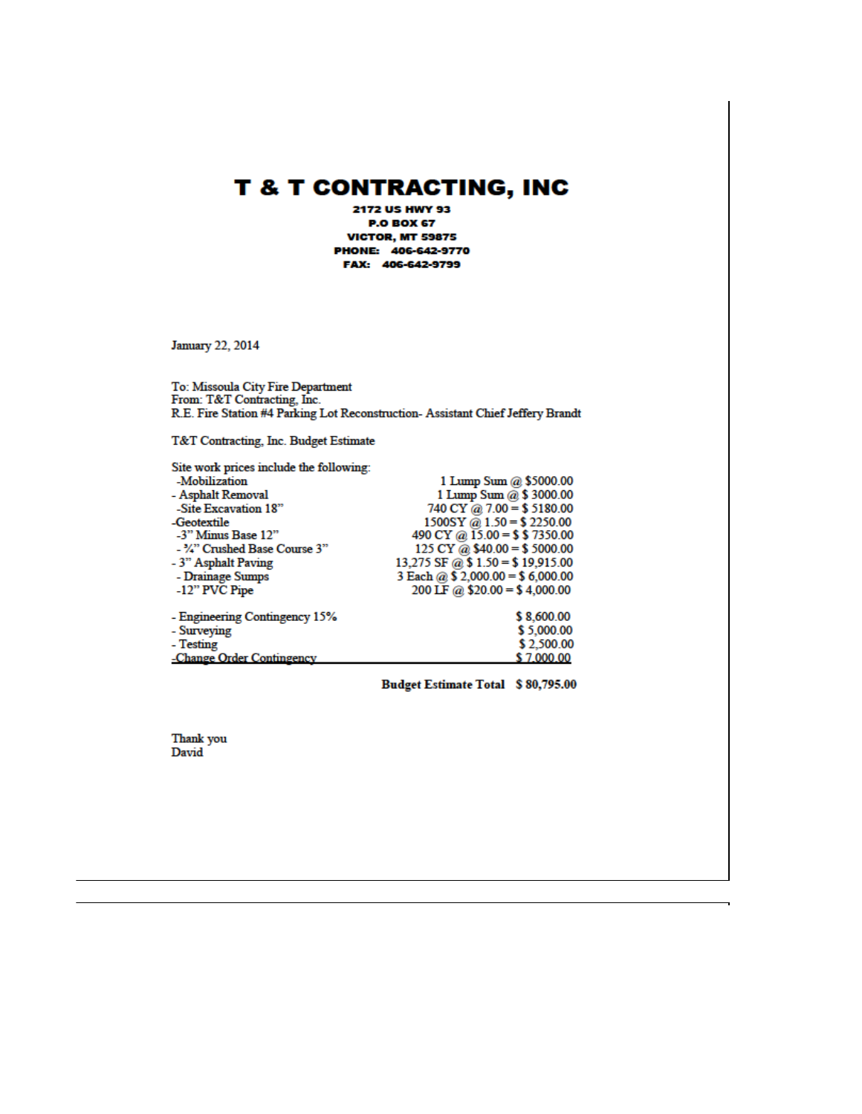# **T & T CONTRACTING, INC**

2172 US HWY 93 **P.O BOX 67 VICTOR, MT 59875** PHONE: 406-642-9770 FAX: 406-642-9799

**January 22, 2014** 

To: Missoula City Fire Department From: T&T Contracting, Inc. R.E. Fire Station #4 Parking Lot Reconstruction- Assistant Chief Jeffery Brandt

T&T Contracting, Inc. Budget Estimate

| Site work prices include the following: |                                  |
|-----------------------------------------|----------------------------------|
| -Mobilization                           | 1 Lump Sum @ \$5000.00           |
| - Asphalt Removal                       | 1 Lump Sum @ \$ 3000.00          |
| -Site Excavation 18"                    | 740 CY @ 7.00 = \$5180.00        |
| -Geotextile                             | $1500SY @ 1.50 = $2250.00$       |
| -3" Minus Base 12"                      | 490 CY @ $15.00 = $ $ 7350.00$   |
| - 1/4" Crushed Base Course 3"           | 125 CY @ $$40.00 = $5000.00$     |
| - 3" Asphalt Paving                     | 13,275 SF @ $$1.50 = $19,915.00$ |
| - Drainage Sumps                        | 3 Each @ $$2,000.00 = $6,000.00$ |
| -12" PVC Pipe                           | 200 LF @ $$20.00 = $4,000.00$    |
| - Engineering Contingency 15%           | \$8,600.00                       |
| - Surveying                             | \$5,000.00                       |
| - Testing                               | \$2,500.00                       |
| -Change Order Contingency               | \$7,000.00                       |

Budget Estimate Total \$80,795.00

Thank you David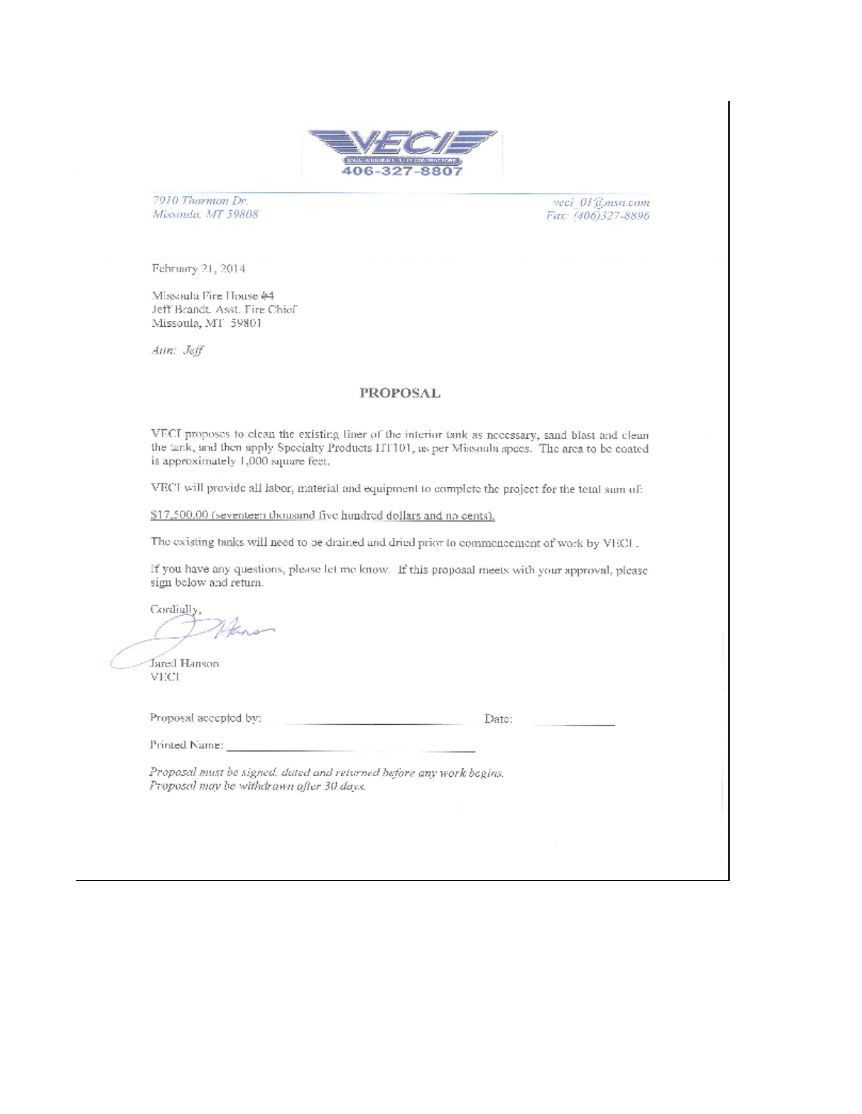

7910 Thornton Dr. Missoula, MT 59808

veci\_01@msn.com Fax: (406)327-8896

February 21, 2014

Missoula Fire House #4 Jeff Brandt, Asst, Fire Chief Missoula, MT 59801

Ann: Jeff

## **PROPOSAL**

VECI proposes to elean the existing liner of the interior tank as necessary, sand blast and clean the tank, and then apply Specialty Products ITT101, as per Missoula specs. The area to be coated is approximately 1,000 square feet.

VECI will provide all labor, material and equipment to complete the project for the total sum of:

\$17,500.00 (seventeen thousand five hundred dollars and no cents).

The existing tanks will need to be drained and dried prior to commencement of work by VECL.

If you have any questions, please let me know. If this proposal meets with your approval, please sign below and return.

Cordially, there

**Jared Hanson VECL** 

Proposal accepted by:

Date:

Printed Name:

Proposal must be signed, dated and returned before any work begins. Proposal may be withdrawn after 30 days.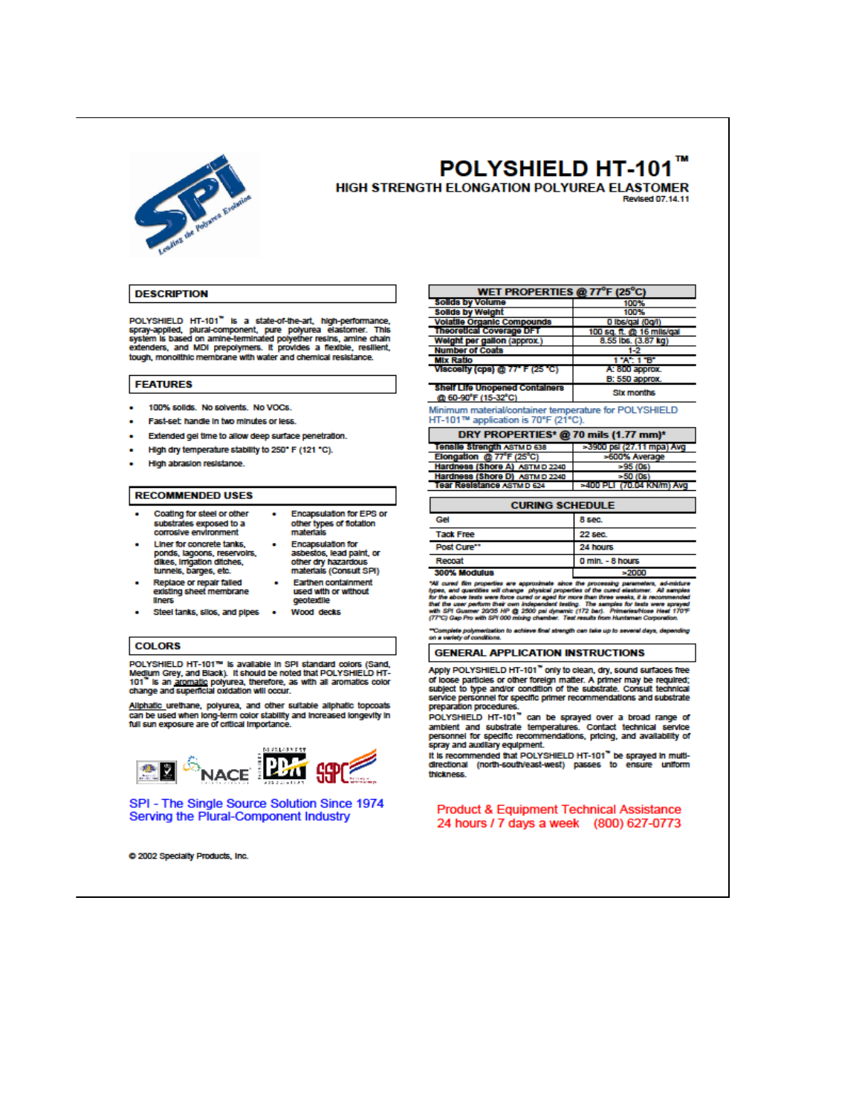

## POLYSHIELD HT-101 HIGH STRENGTH ELONGATION POLYUREA ELASTOMER

**Revised 07 14 11** 

#### **DESCRIPTION**

POLYSHIELD HT-101<sup>7</sup> is a state-of-the-art, high-performance, spray-applied, plural-component, pure polyurea elastomer. This system is based on amine-terminated polyether resins, amine chain extenders, and MDI prepolymers. tough, monolithic membrane with water and chemical resistance.

### **FEATURES**

- 100% solids No solvents No VOCs  $\blacksquare$
- Fast-set handle in two minutes or less.
- Extended gel time to allow deep surface penetration.
- High dry temperature stability to 250° F (121 °C).
- · High abrasion resistance.

#### **RECOMMENDED USES**

- Coating for steel or other  $\bullet$ substrates exposed to a corrosive environment
	- materials Encapsulation for<br>asbestos, lead paint, or<br>other dry hazardous<br>materials (Consult SPI)

gegtevfile

Encapsulation for EPS or

other types of flotation

**Earthen containment** used with or without

tunnels, barges, etc. Replace or repair failed<br>existing sheet membrane **Illnets** 

**Liner for concrete tanks** ponds, lagoons, reservoirs,<br>dikes, irrigation ditches,

ä, Steel tanks, sllos, and pipes . Wood decks

#### **COLORS**

POLYSHIELD HT-101™ is available in SPI standard colors (Sand, Medium Grey, and Black). It should be noted that POLYSHIELD HT-101" is an aromatic polyurea, therefore, as with all aromatics color change and superficial oxid

Allphatic\_urethane, polyurea, and other suitable allphatic topcoats can be used when long-term color stability and increased longevity in<br>full sun exposure are of critical importance.



SPI - The Single Source Solution Since 1974 Serving the Plural-Component Industry

@ 2002 Specialty Products, Inc.

|                                                                                              | WEIT NOT ENTIES WITH CASE OF |  |  |  |  |
|----------------------------------------------------------------------------------------------|------------------------------|--|--|--|--|
| Solids by Volume                                                                             | 100%                         |  |  |  |  |
| <b>Solids by Weight</b>                                                                      | 100%                         |  |  |  |  |
| <b>Volatile Organic Compounds</b>                                                            | 0 lbs/gal (0g/l)             |  |  |  |  |
| <b>Theoretical Coverage DFT</b>                                                              | 100 sq. ft. @ 16 mils/gal    |  |  |  |  |
| Weight per gallon (approx.)                                                                  | 8.55 lbs. (3.87 kg)          |  |  |  |  |
| <b>Number of Coats</b>                                                                       | 1-2                          |  |  |  |  |
| <b>MIx Ratio</b>                                                                             | 1"A": 1"B"                   |  |  |  |  |
| Viscosity (cps) @ 77" F (25 °C)                                                              | A: 800 approx.               |  |  |  |  |
|                                                                                              | <b>B: 550 approx.</b>        |  |  |  |  |
| <b>Shelf Life Unopened Containers</b><br><b>Six months</b><br>@ 60-90°F (15-32°C)            |                              |  |  |  |  |
| Minimum material/container temperature for POLYSHIELD<br>HT-101™ application is 70°F (21°C). |                              |  |  |  |  |
|                                                                                              |                              |  |  |  |  |
| DRY PROPERTIES* @ 70 mils (1.77 mm)*                                                         |                              |  |  |  |  |
| Tensile Strength ASTMD 638                                                                   | >3900 psi (27.11 mpa) Avg    |  |  |  |  |
| Elongation @ 77°F (25°C)                                                                     | >600% Average                |  |  |  |  |
| Hardness (Shore A) ASTMD 2240                                                                | $-95(0s)$                    |  |  |  |  |
| Hardness (Shore D) ASTM D 2240                                                               | $=50(0s)$                    |  |  |  |  |
| Tear Resistance ASTMD 624                                                                    | >400 PLI (70.04 KN/m) Avg    |  |  |  |  |
|                                                                                              |                              |  |  |  |  |
| <b>CURING SCHEDULE</b>                                                                       |                              |  |  |  |  |

 $\cdots$  and  $\cdots$  and  $\cdots$  and  $\cdots$ 

| Gel              | 8 sec.           |
|------------------|------------------|
| <b>Tack Free</b> | <b>22 sec.</b>   |
| Post Cure**      | 24 hours         |
| Recoat           | 0 mln. - 8 hours |
| 300% Modulus     | $= 2000$         |

т "We can dim properties are approximate since the processing parameters, ad-byers, and hypes, and parameters, and the control discussion will chinage physical groupes and intervals and the control discussions. All the contr

""Complete polymerization to achieve final strength can take up to several days, de<br>on a variety of conditions.

**GENERAL APPLICATION INSTRUCTIONS** 

Apply POLYSHIELD HT-101" only to clean, dry, sound surfaces free of loose particles or other foreign matter. A primer may be required;<br>subject to type and/or condition of the substrate. Consult technical service pers onnel for specific primer recommendations and substrate preparation procedures.

preparation procedures.<br>POLYSHIELD HT-101 " can be sprayed over a broad range of ambient and substrate temperatures. Contact technical service<br>personnel for specific recommendations, pricing, and availability of spray and auxiliary equipment.

eyer and auxiliary equipment.<br>It is recommended that POLYSHIELD HT-101<sup>\*\*</sup> be sprayed in multi-<br>directional (north-south/east-west) passes to ensure uniform thickness.

**Product & Equipment Technical Assistance** 24 hours / 7 days a week (800) 627-0773